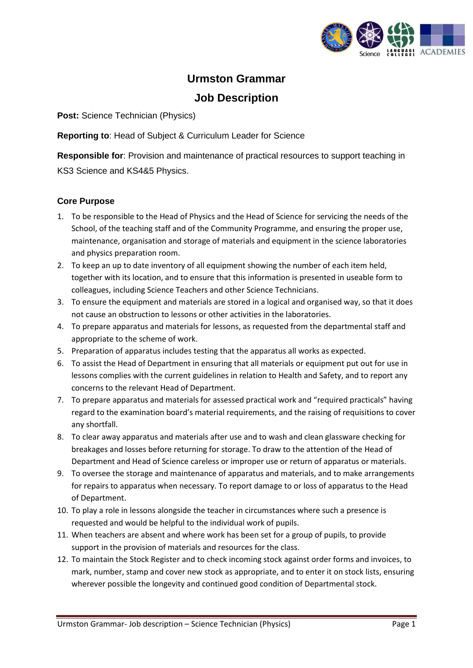

## **Urmston Grammar Job Description**

**Post: Science Technician (Physics)** 

**Reporting to**: Head of Subject & Curriculum Leader for Science

**Responsible for**: Provision and maintenance of practical resources to support teaching in KS3 Science and KS4&5 Physics.

## **Core Purpose**

- 1. To be responsible to the Head of Physics and the Head of Science for servicing the needs of the School, of the teaching staff and of the Community Programme, and ensuring the proper use, maintenance, organisation and storage of materials and equipment in the science laboratories and physics preparation room.
- 2. To keep an up to date inventory of all equipment showing the number of each item held, together with its location, and to ensure that this information is presented in useable form to colleagues, including Science Teachers and other Science Technicians.
- 3. To ensure the equipment and materials are stored in a logical and organised way, so that it does not cause an obstruction to lessons or other activities in the laboratories.
- 4. To prepare apparatus and materials for lessons, as requested from the departmental staff and appropriate to the scheme of work.
- 5. Preparation of apparatus includes testing that the apparatus all works as expected.
- 6. To assist the Head of Department in ensuring that all materials or equipment put out for use in lessons complies with the current guidelines in relation to Health and Safety, and to report any concerns to the relevant Head of Department.
- 7. To prepare apparatus and materials for assessed practical work and "required practicals" having regard to the examination board's material requirements, and the raising of requisitions to cover any shortfall.
- 8. To clear away apparatus and materials after use and to wash and clean glassware checking for breakages and losses before returning for storage. To draw to the attention of the Head of Department and Head of Science careless or improper use or return of apparatus or materials.
- 9. To oversee the storage and maintenance of apparatus and materials, and to make arrangements for repairs to apparatus when necessary. To report damage to or loss of apparatus to the Head of Department.
- 10. To play a role in lessons alongside the teacher in circumstances where such a presence is requested and would be helpful to the individual work of pupils.
- 11. When teachers are absent and where work has been set for a group of pupils, to provide support in the provision of materials and resources for the class.
- 12. To maintain the Stock Register and to check incoming stock against order forms and invoices, to mark, number, stamp and cover new stock as appropriate, and to enter it on stock lists, ensuring wherever possible the longevity and continued good condition of Departmental stock.